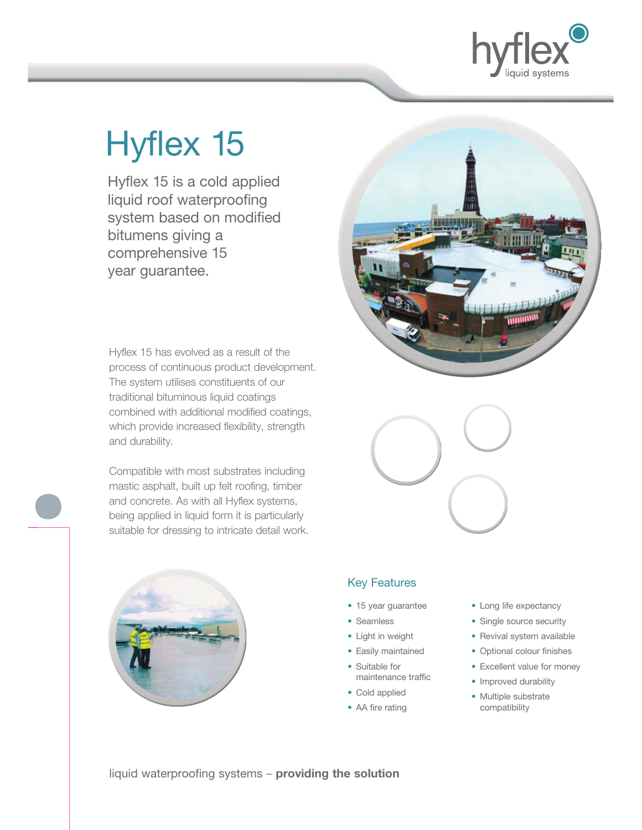

# Hyflex 15

 Hyflex 15 is a cold applied liquid roof waterproofing system based on modified bitumens giving a comprehensive 15 year guarantee.

Hyflex 15 has evolved as a result of the process of continuous product development. The system utilises constituents of our traditional bituminous liquid coatings combined with additional modified coatings, which provide increased flexibility, strength and durability.

Compatible with most substrates including mastic asphalt, built up felt roofing, timber and concrete. As with all Hyflex systems, being applied in liquid form it is particularly suitable for dressing to intricate detail work.







# Key Features

- 15 year guarantee
- Seamless
- Light in weight
- Easily maintained
- Suitable for maintenance traffic
- Cold applied
- AA fire rating
- Long life expectancy
- Single source security
- Revival system available
- Optional colour finishes
- Excellent value for money
- Improved durability
- Multiple substrate compatibility

liquid waterproofing systems – **providing the solution**